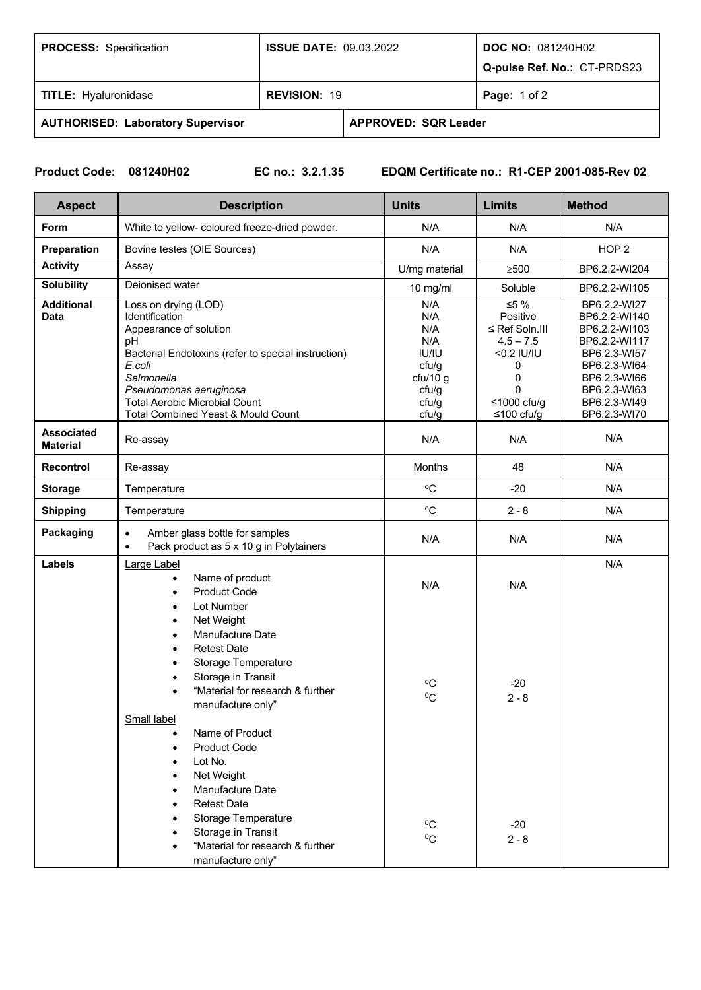| <b>PROCESS:</b> Specification            | <b>ISSUE DATE: 09.03.2022</b> |                             | <b>DOC NO: 081240H02</b><br>Q-pulse Ref. No.: CT-PRDS23 |  |
|------------------------------------------|-------------------------------|-----------------------------|---------------------------------------------------------|--|
| <b>TITLE: Hyaluronidase</b>              | <b>REVISION: 19</b>           |                             | <b>Page:</b> 1 of 2                                     |  |
| <b>AUTHORISED: Laboratory Supervisor</b> |                               | <b>APPROVED: SQR Leader</b> |                                                         |  |

**Product Code: 081240H02 EC no.: 3.2.1.35 EDQM Certificate no.: R1-CEP 2001-085-Rev 02**

| <b>Aspect</b>                        | <b>Description</b>                                                                                                                                                                                                                                            | <b>Units</b>                                                                      | <b>Limits</b>                                                                                                      | <b>Method</b>                                                                                                                                                   |
|--------------------------------------|---------------------------------------------------------------------------------------------------------------------------------------------------------------------------------------------------------------------------------------------------------------|-----------------------------------------------------------------------------------|--------------------------------------------------------------------------------------------------------------------|-----------------------------------------------------------------------------------------------------------------------------------------------------------------|
| Form                                 | White to yellow- coloured freeze-dried powder.                                                                                                                                                                                                                | N/A                                                                               | N/A                                                                                                                | N/A                                                                                                                                                             |
| Preparation                          | Bovine testes (OIE Sources)                                                                                                                                                                                                                                   | N/A                                                                               | N/A                                                                                                                | HOP <sub>2</sub>                                                                                                                                                |
| <b>Activity</b>                      | Assay                                                                                                                                                                                                                                                         | U/mg material                                                                     | $\geq$ 500                                                                                                         | BP6.2.2-WI204                                                                                                                                                   |
| <b>Solubility</b>                    | Deionised water                                                                                                                                                                                                                                               | 10 mg/ml                                                                          | Soluble                                                                                                            | BP6.2.2-WI105                                                                                                                                                   |
| <b>Additional</b><br><b>Data</b>     | Loss on drying (LOD)<br>Identification<br>Appearance of solution<br>pH<br>Bacterial Endotoxins (refer to special instruction)<br>E.coli<br>Salmonella<br>Pseudomonas aeruginosa<br><b>Total Aerobic Microbial Count</b><br>Total Combined Yeast & Mould Count | N/A<br>N/A<br>N/A<br>N/A<br>IU/IU<br>cfu/g<br>cfu/10 g<br>cfu/g<br>cfu/g<br>cfu/g | ≤5 %<br>Positive<br>≤ Ref Soln.III<br>$4.5 - 7.5$<br><0.2 IU/IU<br>0<br>0<br>$\Omega$<br>≤1000 cfu/g<br>≤100 cfu/g | BP6.2.2-WI27<br>BP6.2.2-WI140<br>BP6.2.2-WI103<br>BP6.2.2-WI117<br>BP6.2.3-WI57<br>BP6.2.3-WI64<br>BP6.2.3-WI66<br>BP6.2.3-WI63<br>BP6.2.3-WI49<br>BP6.2.3-WI70 |
| <b>Associated</b><br><b>Material</b> | Re-assay                                                                                                                                                                                                                                                      | N/A                                                                               | N/A                                                                                                                | N/A                                                                                                                                                             |
| <b>Recontrol</b>                     | Re-assay                                                                                                                                                                                                                                                      | Months                                                                            | 48                                                                                                                 | N/A                                                                                                                                                             |
| <b>Storage</b>                       | Temperature                                                                                                                                                                                                                                                   | $\rm ^{o}C$                                                                       | $-20$                                                                                                              | N/A                                                                                                                                                             |
| <b>Shipping</b>                      | Temperature                                                                                                                                                                                                                                                   | $\rm ^{o}C$                                                                       | $2 - 8$                                                                                                            | N/A                                                                                                                                                             |
| Packaging                            | Amber glass bottle for samples<br>$\bullet$<br>Pack product as 5 x 10 g in Polytainers<br>$\bullet$                                                                                                                                                           | N/A                                                                               | N/A                                                                                                                | N/A                                                                                                                                                             |
| Labels                               | Large Label<br>Name of product<br><b>Product Code</b><br>Lot Number<br>Net Weight<br>Manufacture Date<br><b>Retest Date</b><br>Storage Temperature<br>Storage in Transit<br>"Material for research & further<br>manufacture only"<br><b>Small label</b>       | N/A<br>$\rm ^o\rm C$<br>$^{0}C$                                                   | N/A<br>$-20$<br>$2 - 8$                                                                                            | N/A                                                                                                                                                             |
|                                      | Name of Product<br><b>Product Code</b><br>Lot No.<br>Net Weight<br><b>Manufacture Date</b><br><b>Retest Date</b><br>Storage Temperature<br>Storage in Transit<br>"Material for research & further<br>manufacture only"                                        | $^{0}C$<br>$^0C$                                                                  | $-20$<br>$2 - 8$                                                                                                   |                                                                                                                                                                 |